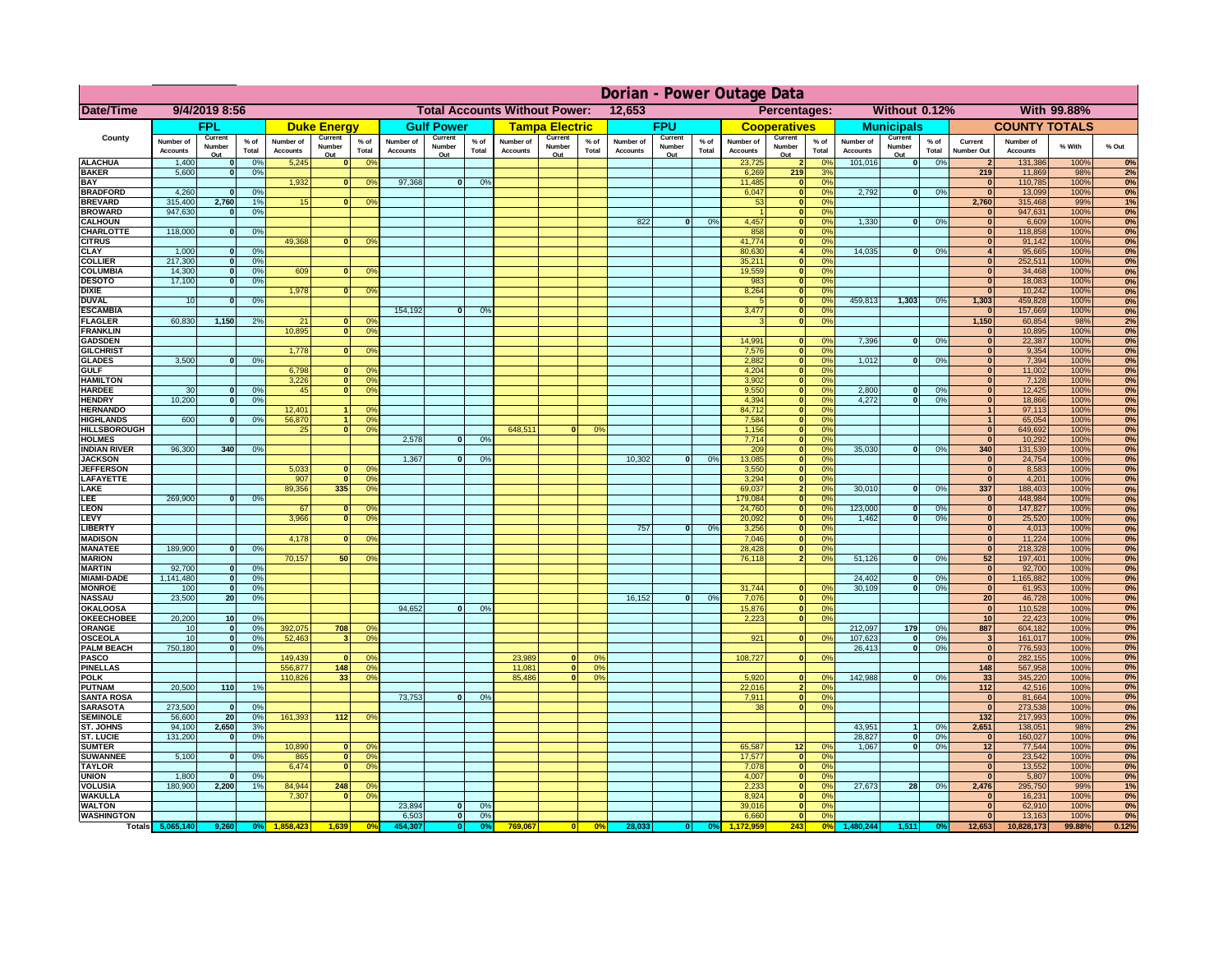|                                       | Dorian - Power Outage Data   |                          |                      |                              |                          |                                                |                       |                          |                |                                              |                          |                 |                              |                          |               |                              |                                 |                      |                              |                          |                 |                                  |                       |              |          |
|---------------------------------------|------------------------------|--------------------------|----------------------|------------------------------|--------------------------|------------------------------------------------|-----------------------|--------------------------|----------------|----------------------------------------------|--------------------------|-----------------|------------------------------|--------------------------|---------------|------------------------------|---------------------------------|----------------------|------------------------------|--------------------------|-----------------|----------------------------------|-----------------------|--------------|----------|
| Date/Time                             | 9/4/2019 8:56                |                          |                      |                              |                          | <b>Total Accounts Without Power:</b><br>12,653 |                       |                          |                | Percentages:<br>Without 0.12%<br>With 99.88% |                          |                 |                              |                          |               |                              |                                 |                      |                              |                          |                 |                                  |                       |              |          |
|                                       |                              | <b>FPL</b>               |                      |                              | <b>Duke Energy</b>       |                                                |                       | <b>Gulf Power</b>        |                |                                              | <b>Tampa Electric</b>    |                 |                              | <b>FPU</b>               |               |                              | <b>Cooperatives</b>             |                      |                              | <b>Municipals</b>        |                 |                                  | <b>COUNTY TOTALS</b>  |              |          |
| County                                | Number of<br><b>Accounts</b> | Current<br>Number<br>Out | $%$ of<br>Total      | Number of<br><b>Accounts</b> | Current<br>Number<br>Out | $%$ of<br>Total                                | Number of<br>Accounts | Current<br>Number<br>Out | % of<br>Total  | Number of<br><b>Accounts</b>                 | Current<br>Number<br>Out | $%$ of<br>Total | Number of<br><b>Accounts</b> | Current<br>Number<br>Out | % of<br>Total | Number of<br><b>Accounts</b> | Current<br>Number<br><u>Out</u> | $%$ of<br>Total      | Number of<br><b>Accounts</b> | Current<br>Number<br>Out | $%$ of<br>Total | Current<br>Number Out            | Number of<br>Accounts | % With       | % Out    |
| <b>ALACHUA</b>                        | 1,400                        | $\Omega$                 | 0%                   | 5,245                        | $\mathbf{0}$             | 0 <sup>9</sup>                                 |                       |                          |                |                                              |                          |                 |                              |                          |               | 23,725                       | 2                               | no                   | 101,016                      | 0                        | 0%              | 2                                | 131,386               | 100%         | 0%       |
| <b>BAKER</b><br><b>BAY</b>            | 5,600                        |                          | 0 <sup>9</sup>       | 1,932                        | n                        | 0 <sup>9</sup>                                 | 97,368                | $\bf{0}$                 | 0%             |                                              |                          |                 |                              |                          |               | 6,269<br>11,485              | 219<br>$\mathbf{0}$             | 3%<br>0%             |                              |                          |                 | 219<br>$\mathbf{0}$              | 11,869<br>110,785     | 98%<br>100%  | 2%<br>0% |
| <b>BRADFORD</b>                       | 4,260                        |                          | 0%                   |                              |                          |                                                |                       |                          |                |                                              |                          |                 |                              |                          |               | 6,047                        | $\bullet$                       | 0%                   | 2,792                        | 0                        | 0%              | $\overline{0}$                   | 13,099                | 100%         | 0%       |
| <b>BREVARD</b>                        | 315,400                      | 2,760                    | 1%                   | 15                           |                          | 0 <sup>9</sup><br>$\mathbf{0}$                 |                       |                          |                |                                              |                          |                 |                              |                          |               | 53                           | $\overline{\mathbf{0}}$         | 0%                   |                              |                          |                 | 2,760                            | 315,468               | 99%          | 1%       |
| <b>BROWARD</b>                        | 947,630                      |                          | 0%                   |                              |                          |                                                |                       |                          |                |                                              |                          |                 |                              |                          |               |                              | $\bullet$                       | 0%                   |                              |                          |                 | $\bf{0}$                         | 947,631               | 100%         | 0%       |
| <b>CALHOUN</b><br><b>CHARLOTTE</b>    | 118,000                      | $\Omega$                 | 0 <sup>9</sup>       |                              |                          |                                                |                       |                          |                |                                              |                          |                 | 822                          | 0                        | 0%            | 4,457<br>858                 | ō<br>ō                          | 0%<br>0%             | 1,330                        | 0                        | 0%              | $\overline{0}$<br>$\overline{0}$ | 6,609<br>118,858      | 100%<br>100% | 0%<br>0% |
| <b>CITRUS</b>                         |                              |                          |                      | 49.368                       |                          | 0 <sup>9</sup><br>$\overline{0}$               |                       |                          |                |                                              |                          |                 |                              |                          |               | 41.774                       | $\overline{\mathbf{0}}$         | 0%                   |                              |                          |                 | $\overline{0}$                   | 91,142                | 100%         | 0%       |
| <b>CLAY</b>                           | 1,000                        | $\Omega$                 | 0%                   |                              |                          |                                                |                       |                          |                |                                              |                          |                 |                              |                          |               | 80,630                       | $\overline{4}$                  | 0%                   | 14.035                       | ol                       | 0%              | $\overline{4}$                   | 95,665                | 100%         | 0%       |
| <b>COLLIER</b>                        | 217,300                      | 0                        | 0 <sup>9</sup>       |                              |                          |                                                |                       |                          |                |                                              |                          |                 |                              |                          |               | 35,211                       | 0                               | 0%                   |                              |                          |                 | $\overline{0}$                   | 252,511               | 100%         | 0%       |
| <b>COLUMBIA</b>                       | 14,300                       | $\overline{0}$           | 0%                   | 609                          |                          | 0 <sup>9</sup><br>$\overline{0}$               |                       |                          |                |                                              |                          |                 |                              |                          |               | 19.559                       | 0                               | 0%                   |                              |                          |                 | $\overline{0}$<br>$\overline{0}$ | 34,468                | 100%         | 0%       |
| <b>DESOTO</b><br><b>DIXIE</b>         | 17,100                       | $\overline{0}$           | 0%                   | 1,978                        |                          | $\overline{0}$<br>0 <sup>9</sup>               |                       |                          |                |                                              |                          |                 |                              |                          |               | 983<br>8,264                 | 0 <br> 0                        | 0%<br>0%             |                              |                          |                 | $\overline{0}$                   | 18,083<br>10,242      | 100%<br>100% | 0%<br>0% |
| <b>DUVAL</b>                          | 10                           |                          | 0 <sup>9</sup>       |                              |                          |                                                |                       |                          |                |                                              |                          |                 |                              |                          |               | -5                           | $\overline{\bullet}$            | 0%                   | 459,813                      | 1,303                    | 0%              | 1,303                            | 459,828               | 100%         | 0%       |
| <b>ESCAMBIA</b>                       |                              |                          |                      |                              |                          |                                                | 154,192               | $\mathbf{0}$             | 0 <sup>o</sup> |                                              |                          |                 |                              |                          |               | 3,477                        | $\overline{\mathbf{0}}$         | 0%                   |                              |                          |                 | $\overline{0}$                   | 157,669               | 100%         | 0%       |
| <b>FLAGLER</b>                        | 60,830                       | 1,150                    | 2 <sup>9</sup>       | 21                           |                          | 0 <sup>9</sup><br>$\Omega$                     |                       |                          |                |                                              |                          |                 |                              |                          |               | 3                            | 0                               | 0%                   |                              |                          |                 | 1,150                            | 60,854                | 98%          | 2%       |
| <b>FRANKLIN</b><br><b>GADSDEN</b>     |                              |                          |                      | 10,895                       |                          | $\overline{0}$<br>0 <sup>9</sup>               |                       |                          |                |                                              |                          |                 |                              |                          |               | 14.991                       | $\mathbf{0}$                    | 0%                   | 7,396                        | $\overline{0}$           | 0%              | $\overline{0}$<br> 0             | 10,895<br>22,387      | 100%<br>100% | 0%<br>0% |
| <b>GILCHRIST</b>                      |                              |                          |                      | 1.778                        |                          | $\overline{0}$<br>0 <sup>9</sup>               |                       |                          |                |                                              |                          |                 |                              |                          |               | 7,576                        | 0                               | 0%                   |                              |                          |                 | 0                                | 9,354                 | 100%         | 0%       |
| <b>GLADES</b>                         | 3.500                        |                          | 0%                   |                              |                          |                                                |                       |                          |                |                                              |                          |                 |                              |                          |               | 2.882                        | $\mathbf{0}$                    | 0%                   | 1.012                        | $\Omega$                 | 0%              | 0                                | 7,394                 | 100%         | 0%       |
| <b>GULF</b>                           |                              |                          |                      | 6.798                        |                          | n١<br>0 <sup>o</sup>                           |                       |                          |                |                                              |                          |                 |                              |                          |               | 4,204                        | 0                               | 0%                   |                              |                          |                 | 0                                | 11,002                | 100%         | 0%       |
| <b>HAMILTON</b>                       |                              |                          |                      | 3.226                        |                          | $\overline{0}$<br>0 <sup>9</sup>               |                       |                          |                |                                              |                          |                 |                              |                          |               | 3.902                        | 0                               | 0%                   |                              |                          |                 | 0                                | 7,128                 | 100%         | 0%       |
| <b>HARDEE</b><br><b>HENDRY</b>        | 30<br>10,200                 | $\Omega$                 | 0 <sup>9</sup><br>0% | 45                           |                          | $\overline{0}$<br>0%                           |                       |                          |                |                                              |                          |                 |                              |                          |               | 9,550<br>4,394               | 0 <br> 0                        | 0%<br>0%             | 2,800<br>4,272               | $\mathbf{0}$<br>$\Omega$ | 0%<br>0%        | 0 <br> 0                         | 12,425<br>18,866      | 100%<br>100% | 0%<br>0% |
| <b>HERNANDO</b>                       |                              |                          |                      | 12,401                       |                          | 1<br>0 <sup>6</sup>                            |                       |                          |                |                                              |                          |                 |                              |                          |               | 84,712                       | 0                               | 0%                   |                              |                          |                 | 1                                | 97,113                | 100%         | 0%       |
| <b>HIGHLANDS</b>                      | 600                          |                          | 0 <sup>9</sup>       | 56,870                       |                          | 1 <sup>1</sup><br>0 <sup>9</sup>               |                       |                          |                |                                              |                          |                 |                              |                          |               | 7,584                        | 0                               | 0%                   |                              |                          |                 | $\mathbf{1}$                     | 65,054                | 100%         | 0%       |
| <b>HILLSBOROUGH</b>                   |                              |                          |                      | 25                           |                          | 0 <br>0%                                       |                       |                          |                | 648,511                                      | $\Omega$                 | 0%              |                              |                          |               | 1,156                        | 0                               | 0%                   |                              |                          |                 | 0                                | 649,692               | 100%         | 0%       |
| <b>HOLMES</b>                         |                              | 340                      |                      |                              |                          |                                                | 2,578                 | $\mathbf{0}$             | 0%             |                                              |                          |                 |                              |                          |               | 7,714                        | 0                               | 0%<br>0%             |                              | $\mathbf{0}$             |                 | 0                                | 10,292                | 100%         | 0%       |
| <b>INDIAN RIVER</b><br><b>JACKSON</b> | 96,300                       |                          | 0%                   |                              |                          |                                                | 1,367                 | $\mathbf{0}$             | 0%             |                                              |                          |                 | 10,302                       | 0                        | 0%            | 209<br>13,085                | 0 <br> 0                        | 0%                   | 35,030                       |                          | 0%              | 340<br> 0                        | 131,539<br>24,754     | 100%<br>100% | 0%<br>0% |
| <b>JEFFERSON</b>                      |                              |                          |                      | 5,033                        |                          | $\mathbf{a}$<br>O <sup>9</sup>                 |                       |                          |                |                                              |                          |                 |                              |                          |               | 3,550                        | 0                               | 0%                   |                              |                          |                 | 0                                | 8,583                 | 100%         | 0%       |
| <b>LAFAYETTE</b>                      |                              |                          |                      | 907                          |                          | 0 <sup>9</sup><br>$\Omega$                     |                       |                          |                |                                              |                          |                 |                              |                          |               | 3,294                        | 0                               | 0%                   |                              |                          |                 | 0                                | 4,201                 | 100%         | 0%       |
| LAKE                                  |                              |                          |                      | 89,356                       | 335                      | 0 <sup>9</sup>                                 |                       |                          |                |                                              |                          |                 |                              |                          |               | 69,037                       | $\mathbf{2}$                    | $\Omega$ %           | 30,010                       | $\Omega$                 | 0%              | 337                              | 188,403               | 100%         | 0%       |
| LEE<br><b>LEON</b>                    | 269,900                      | $\Omega$                 | 0%                   | 67                           |                          | $\Omega$<br>$^{\circ}$                         |                       |                          |                |                                              |                          |                 |                              |                          |               | 179,084<br>24,760            | 0                               | 0%<br>0%             | 123,000                      | $\Omega$                 |                 | 0                                | 448,984<br>147,827    | 100%<br>100% | 0%<br>0% |
| <b>LEVY</b>                           |                              |                          |                      | 3,966                        |                          | 0 <sup>9</sup><br>$\overline{0}$               |                       |                          |                |                                              |                          |                 |                              |                          |               | 20,092                       | 0 <br> 0                        | 0%                   | 1,462                        | 0                        | 0%<br>0%        | 0 <br> 0                         | 25,520                | 100%         | 0%       |
| <b>LIBERTY</b>                        |                              |                          |                      |                              |                          |                                                |                       |                          |                |                                              |                          |                 | 757                          | 0                        | 0%            | 3,256                        | 0                               | 0%                   |                              |                          |                 | 0                                | 4,013                 | 100%         | 0%       |
| <b>MADISON</b>                        |                              |                          |                      | 4,178                        |                          | $\Omega$<br>0 <sup>9</sup>                     |                       |                          |                |                                              |                          |                 |                              |                          |               | 7,046                        | 0                               | 0%                   |                              |                          |                 | 0                                | 11,224                | 100%         | 0%       |
| <b>MANATEE</b>                        | 189,900                      | $\Omega$                 | 0%                   |                              |                          |                                                |                       |                          |                |                                              |                          |                 |                              |                          |               | 28,428                       | 0                               | 0%                   |                              |                          |                 | 0                                | 218,328               | 100%         | 0%       |
| <b>MARION</b><br><b>MARTIN</b>        | 92,700                       | $\Omega$                 | 0%                   | 70,157                       | 50                       | 0%                                             |                       |                          |                |                                              |                          |                 |                              |                          |               | 76,118                       | $\overline{2}$                  | 0%                   | 51,126                       | 0                        | 0%              | 52<br>$\overline{0}$             | 197,401<br>92,700     | 100%<br>100% | 0%<br>0% |
| <b>MIAMI-DADE</b>                     | 1,141,480                    | $\Omega$                 | 0%                   |                              |                          |                                                |                       |                          |                |                                              |                          |                 |                              |                          |               |                              |                                 |                      | 24,402                       | 0                        | 0%              | 0                                | 1,165,882             | 100%         | 0%       |
| <b>MONROE</b>                         | 100                          | $\Omega$                 | 0%                   |                              |                          |                                                |                       |                          |                |                                              |                          |                 |                              |                          |               | 31,744                       | 0                               | n                    | 30,109                       | 0                        | 0%              | 0                                | 61,953                | 100%         | 0%       |
| <b>NASSAU</b>                         | 23,500                       | 20                       | 0%                   |                              |                          |                                                |                       |                          |                |                                              |                          |                 | 16,152                       | 0                        | 0%            | 7,076                        | 0                               | 0%                   |                              |                          |                 | 20 <sup>1</sup>                  | 46,728                | 100%         | 0%       |
| <b>OKALOOSA</b>                       |                              |                          |                      |                              |                          |                                                | 94,652                | $\bf{0}$                 | 0%             |                                              |                          |                 |                              |                          |               | 15,876                       | 0                               | 0%                   |                              |                          |                 | 0                                | 110,528               | 100%         | 0%       |
| <b>OKEECHOBEE</b><br>ORANGE           | 20,200<br>10                 | 10<br>$\mathbf{o}$       | 0%<br>0%             | 392,075                      | 708                      | 0 <sup>9</sup>                                 |                       |                          |                |                                              |                          |                 |                              |                          |               | 2,223                        | 0                               | 0%                   | 212,097                      | 179                      | 0%              | 10 <sup>1</sup><br>887           | 22,423<br>604,182     | 100%<br>100% | 0%<br>0% |
| <b>OSCEOLA</b>                        | 10                           | $\bf{0}$                 | 0 <sup>9</sup>       | 52,463                       |                          | 0 <sup>9</sup>                                 |                       |                          |                |                                              |                          |                 |                              |                          |               | 921                          | 0                               | 0 <sup>9</sup>       | 107,623                      | 0                        | 0%              | $\bullet$                        | 161,017               | 100%         | 0%       |
| <b>PALM BEACH</b>                     | 750,180                      | $\mathbf{0}$             | 0%                   |                              |                          |                                                |                       |                          |                |                                              |                          |                 |                              |                          |               |                              |                                 |                      | 26,413                       | 0                        | 0%              | 0                                | 776,593               | 100%         | 0%       |
| <b>PASCO</b>                          |                              |                          |                      | 149,439                      |                          | 0 <sup>9</sup><br>$\mathbf{0}$                 |                       |                          |                | 23,989                                       | $\mathbf{0}$             | 0%              |                              |                          |               | 108,727                      | 0                               | 0%                   |                              |                          |                 | $\Omega$                         | 282,155               | 100%         | 0%       |
| <b>PINELLAS</b><br><b>POLK</b>        |                              |                          |                      | 556,877<br>110,826           | 148<br>33 <sup>1</sup>   | 0 <sup>9</sup><br>0%                           |                       |                          |                | 11,081<br>85,486                             | 0 <br> 0                 | 0%<br>0%        |                              |                          |               | 5,920                        | 0                               | 0%                   | 142,988                      | 0                        | 0%              | 148<br>33                        | 567,958<br>345,220    | 100%<br>100% | 0%<br>0% |
| <b>PUTNAM</b>                         | 20,500                       | 110                      | 1%                   |                              |                          |                                                |                       |                          |                |                                              |                          |                 |                              |                          |               | 22,016                       | $\overline{2}$                  | 0%                   |                              |                          |                 | $112$                            | 42,516                | 100%         | 0%       |
| <b>SANTA ROSA</b>                     |                              |                          |                      |                              |                          |                                                | 73.753                | $\mathbf{0}$             | 0%             |                                              |                          |                 |                              |                          |               | 7.911                        | $\overline{0}$                  | 0%                   |                              |                          |                 | $\mathbf{0}$                     | 81,664                | 100%         | 0%       |
| <b>SARASOTA</b>                       | 273,500                      | $\mathbf{0}$             | 0%                   |                              |                          |                                                |                       |                          |                |                                              |                          |                 |                              |                          |               | 38                           | $\overline{0}$                  | 0%                   |                              |                          |                 | 0                                | 273,538               | 100%         | 0%       |
| <b>SEMINOLE</b>                       | 56,600                       | 20                       | 0%                   | 161,393                      | $112$                    | 0%                                             |                       |                          |                |                                              |                          |                 |                              |                          |               |                              |                                 |                      | 43.951                       |                          |                 | 132                              | 217,993               | 100%         | 0%       |
| ST. JOHNS<br><b>ST. LUCIE</b>         | 94.100<br>131,200            | 2,650                    | 3%<br>0%             |                              |                          |                                                |                       |                          |                |                                              |                          |                 |                              |                          |               |                              |                                 |                      | 28,827                       | $\vert$ 1<br> 0          | 0%<br>0%        | 2.651<br> 0                      | 138,051<br>160,027    | 98%<br>100%  | 2%<br>0% |
| <b>SUMTER</b>                         |                              |                          |                      | 10,890                       |                          | $\mathbf{0}$<br>0 <sup>6</sup>                 |                       |                          |                |                                              |                          |                 |                              |                          |               | 65,587                       | 12                              | nº                   | 1,067                        | 0                        | 0%              | 12                               | 77,544                | 100%         | 0%       |
| <b>SUWANNEE</b>                       | 5,100                        | $\bf{0}$                 | 0%                   | 865                          |                          | 0 <br>0 <sup>9</sup>                           |                       |                          |                |                                              |                          |                 |                              |                          |               | 17,577                       | $\mathbf 0$                     | 0%                   |                              |                          |                 | 0                                | 23,542                | 100%         | 0%       |
| <b>TAYLOR</b>                         |                              |                          |                      | 6,474                        |                          | 0 <br>0 <sup>9</sup>                           |                       |                          |                |                                              |                          |                 |                              |                          |               | 7,078                        | 0                               | 0%                   |                              |                          |                 | $\bf{0}$                         | 13,552                | 100%         | 0%       |
| <b>UNION</b><br>VOLUSIA               | 1,800<br>180,900             | 2,200                    | 0 <sup>9</sup><br>1% | 84,944                       | 248                      | 0 <sup>6</sup>                                 |                       |                          |                |                                              |                          |                 |                              |                          |               | 4,007                        | $\mathbf 0$<br> 0               | 0 <sup>9</sup><br>0% | 27,673                       | 28                       | 0%              | $\bf{0}$<br>2,476                | 5,807                 | 100%<br>99%  | 0%<br>1% |
| <b>WAKULLA</b>                        |                              |                          |                      | 7,307                        |                          | 0 <sup>9</sup><br>$\mathbf{0}$                 |                       |                          |                |                                              |                          |                 |                              |                          |               | 2,233<br>8,924               | $\mathbf 0$                     | 0%                   |                              |                          |                 | $\bf{0}$                         | 295,750<br>16,231     | 100%         | 0%       |
| <b>WALTON</b>                         |                              |                          |                      |                              |                          |                                                | 23,894                | $\mathbf{0}$             | 0%             |                                              |                          |                 |                              |                          |               | 39,016                       | 0                               | 0%                   |                              |                          |                 | $\mathbf{0}$                     | 62,910                | 100%         | 0%       |
| <b>WASHINGTON</b>                     |                              |                          |                      |                              |                          |                                                | 6,503                 | 0                        | 0%             |                                              |                          |                 |                              |                          |               | 6,660                        | 0                               | 0%                   |                              |                          |                 | $\mathbf{0}$                     | 13,163                | 100%         | 0%       |
|                                       | Totals 5,065,140             | 9,260                    | 0 <sup>o</sup>       |                              | 1,639                    | 0 <sup>o</sup>                                 | 154.30                |                          |                | 769,067                                      |                          | 0%              | 28,03                        |                          |               |                              | 243                             | 0%                   |                              |                          |                 | 12,653                           | 10,828,173            | 99.88%       | 0.12%    |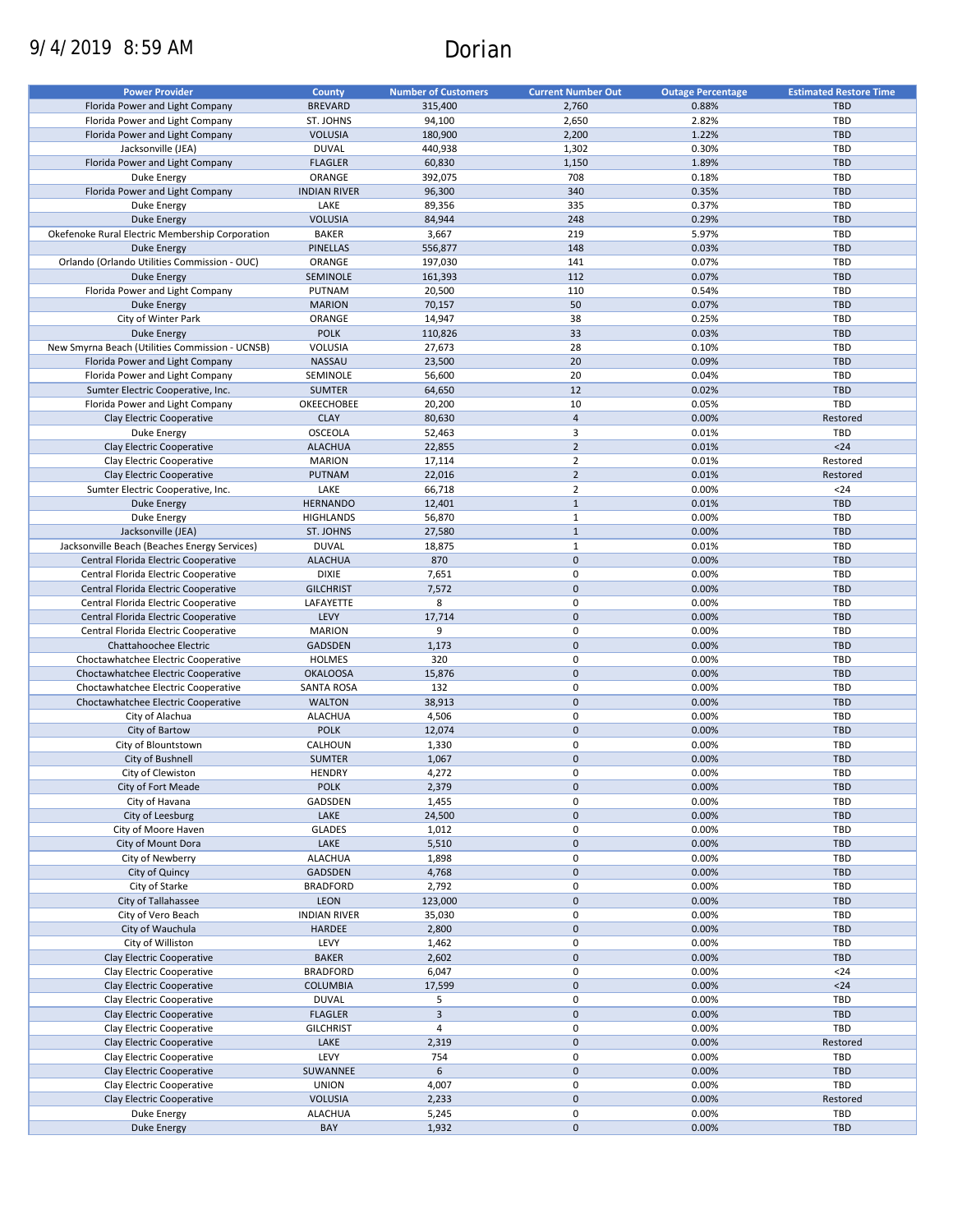# 9/4/2019 8:59 AM Dorian

| <b>Power Provider</b>                           | <b>County</b>       | <b>Number of Customers</b> | <b>Current Number Out</b> | <b>Outage Percentage</b> | <b>Estimated Restore Time</b> |
|-------------------------------------------------|---------------------|----------------------------|---------------------------|--------------------------|-------------------------------|
|                                                 |                     |                            |                           |                          |                               |
| Florida Power and Light Company                 | <b>BREVARD</b>      | 315,400                    | 2,760                     | 0.88%                    | <b>TBD</b>                    |
| Florida Power and Light Company                 | ST. JOHNS           | 94,100                     | 2,650                     | 2.82%                    | TBD                           |
| Florida Power and Light Company                 | <b>VOLUSIA</b>      | 180,900                    | 2,200                     | 1.22%                    | <b>TBD</b>                    |
| Jacksonville (JEA)                              | <b>DUVAL</b>        | 440,938                    | 1,302                     | 0.30%                    | TBD                           |
| Florida Power and Light Company                 | <b>FLAGLER</b>      | 60,830                     | 1,150                     | 1.89%                    | <b>TBD</b>                    |
| Duke Energy                                     | ORANGE              | 392,075                    | 708                       | 0.18%                    | TBD                           |
| Florida Power and Light Company                 | <b>INDIAN RIVER</b> | 96,300                     | 340                       | 0.35%                    | <b>TBD</b>                    |
| Duke Energy                                     | LAKE                | 89,356                     | 335                       | 0.37%                    | TBD                           |
| Duke Energy                                     | <b>VOLUSIA</b>      | 84,944                     | 248                       | 0.29%                    | <b>TBD</b>                    |
| Okefenoke Rural Electric Membership Corporation | <b>BAKER</b>        | 3,667                      | 219                       | 5.97%                    | TBD                           |
|                                                 |                     |                            |                           |                          |                               |
| <b>Duke Energy</b>                              | <b>PINELLAS</b>     | 556,877                    | 148                       | 0.03%                    | <b>TBD</b>                    |
| Orlando (Orlando Utilities Commission - OUC)    | ORANGE              | 197,030                    | 141                       | 0.07%                    | TBD                           |
| <b>Duke Energy</b>                              | <b>SEMINOLE</b>     | 161,393                    | 112                       | 0.07%                    | <b>TBD</b>                    |
| Florida Power and Light Company                 | PUTNAM              | 20,500                     | 110                       | 0.54%                    | <b>TBD</b>                    |
| <b>Duke Energy</b>                              | <b>MARION</b>       | 70,157                     | 50                        | 0.07%                    | <b>TBD</b>                    |
| City of Winter Park                             | ORANGE              | 14,947                     | 38                        | 0.25%                    | <b>TBD</b>                    |
| <b>Duke Energy</b>                              | <b>POLK</b>         | 110,826                    | 33                        | 0.03%                    | <b>TBD</b>                    |
| New Smyrna Beach (Utilities Commission - UCNSB) | VOLUSIA             | 27,673                     | 28                        | 0.10%                    | <b>TBD</b>                    |
|                                                 |                     |                            |                           |                          |                               |
| Florida Power and Light Company                 | NASSAU              | 23,500                     | 20                        | 0.09%                    | <b>TBD</b>                    |
| Florida Power and Light Company                 | SEMINOLE            | 56,600                     | 20                        | 0.04%                    | TBD                           |
| Sumter Electric Cooperative, Inc.               | <b>SUMTER</b>       | 64,650                     | 12                        | 0.02%                    | <b>TBD</b>                    |
| Florida Power and Light Company                 | OKEECHOBEE          | 20,200                     | 10                        | 0.05%                    | TBD                           |
| Clay Electric Cooperative                       | <b>CLAY</b>         | 80,630                     | $\overline{4}$            | 0.00%                    | Restored                      |
| Duke Energy                                     | <b>OSCEOLA</b>      | 52,463                     | 3                         | 0.01%                    | TBD                           |
| Clay Electric Cooperative                       | <b>ALACHUA</b>      | 22,855                     | $\overline{2}$            | 0.01%                    | $24$                          |
|                                                 |                     |                            |                           |                          |                               |
| Clay Electric Cooperative                       | <b>MARION</b>       | 17,114                     | $\mathbf 2$               | 0.01%                    | Restored                      |
| Clay Electric Cooperative                       | <b>PUTNAM</b>       | 22,016                     | $\overline{2}$            | 0.01%                    | Restored                      |
| Sumter Electric Cooperative, Inc.               | LAKE                | 66,718                     | $\mathbf 2$               | 0.00%                    | $24$                          |
| <b>Duke Energy</b>                              | <b>HERNANDO</b>     | 12,401                     | $\mathbf{1}$              | 0.01%                    | <b>TBD</b>                    |
| Duke Energy                                     | <b>HIGHLANDS</b>    | 56,870                     | $\mathbf 1$               | 0.00%                    | TBD                           |
| Jacksonville (JEA)                              | ST. JOHNS           | 27,580                     | $\mathbf{1}$              | 0.00%                    | <b>TBD</b>                    |
| Jacksonville Beach (Beaches Energy Services)    | <b>DUVAL</b>        | 18,875                     | $\mathbf{1}$              | 0.01%                    | TBD                           |
|                                                 |                     |                            |                           |                          |                               |
| Central Florida Electric Cooperative            | <b>ALACHUA</b>      | 870                        | $\pmb{0}$                 | 0.00%                    | <b>TBD</b>                    |
| Central Florida Electric Cooperative            | <b>DIXIE</b>        | 7,651                      | $\mathbf 0$               | 0.00%                    | TBD                           |
| Central Florida Electric Cooperative            | <b>GILCHRIST</b>    | 7,572                      | $\pmb{0}$                 | 0.00%                    | <b>TBD</b>                    |
| Central Florida Electric Cooperative            | LAFAYETTE           | 8                          | $\mathbf 0$               | 0.00%                    | TBD                           |
| Central Florida Electric Cooperative            | LEVY                | 17,714                     | $\pmb{0}$                 | 0.00%                    | <b>TBD</b>                    |
| Central Florida Electric Cooperative            | <b>MARION</b>       | 9                          | $\mathbf 0$               | 0.00%                    | TBD                           |
| Chattahoochee Electric                          | <b>GADSDEN</b>      | 1,173                      | $\pmb{0}$                 | 0.00%                    | <b>TBD</b>                    |
|                                                 |                     | 320                        | $\mathbf 0$               | 0.00%                    | TBD                           |
| Choctawhatchee Electric Cooperative             | <b>HOLMES</b>       |                            |                           |                          |                               |
| Choctawhatchee Electric Cooperative             | <b>OKALOOSA</b>     | 15,876                     | $\mathbf{0}$              | 0.00%                    | <b>TBD</b>                    |
| Choctawhatchee Electric Cooperative             | <b>SANTA ROSA</b>   | 132                        | 0                         | 0.00%                    | <b>TBD</b>                    |
| Choctawhatchee Electric Cooperative             | <b>WALTON</b>       | 38,913                     | $\overline{0}$            | 0.00%                    | <b>TBD</b>                    |
| City of Alachua                                 | <b>ALACHUA</b>      | 4,506                      | $\mathbf 0$               | 0.00%                    | <b>TBD</b>                    |
| City of Bartow                                  | <b>POLK</b>         | 12,074                     | $\mathbf 0$               | 0.00%                    | <b>TBD</b>                    |
| City of Blountstown                             | CALHOUN             | 1,330                      | 0                         | 0.00%                    | <b>TBD</b>                    |
|                                                 |                     |                            | $\mathbf 0$               | 0.00%                    | <b>TBD</b>                    |
| City of Bushnell                                | <b>SUMTER</b>       | 1,067                      |                           |                          |                               |
| City of Clewiston                               | <b>HENDRY</b>       | 4,272                      | $\mathbf 0$               | 0.00%                    | TBD                           |
| City of Fort Meade                              | <b>POLK</b>         | 2,379                      | $\pmb{0}$                 | 0.00%                    | <b>TBD</b>                    |
| City of Havana                                  | GADSDEN             | 1,455                      | 0                         | 0.00%                    | TBD                           |
| City of Leesburg                                | LAKE                | 24,500                     | $\pmb{0}$                 | 0.00%                    | TBD                           |
| City of Moore Haven                             | <b>GLADES</b>       | 1,012                      | 0                         | 0.00%                    | TBD                           |
| City of Mount Dora                              | LAKE                | 5,510                      | $\pmb{0}$                 | 0.00%                    | TBD                           |
|                                                 | <b>ALACHUA</b>      | 1,898                      | 0                         | 0.00%                    | TBD                           |
| City of Newberry                                |                     |                            |                           |                          |                               |
| City of Quincy                                  | <b>GADSDEN</b>      | 4,768                      | $\pmb{0}$                 | 0.00%                    | TBD                           |
| City of Starke                                  | <b>BRADFORD</b>     | 2,792                      | 0                         | 0.00%                    | TBD                           |
| City of Tallahassee                             | LEON                | 123,000                    | $\pmb{0}$                 | 0.00%                    | <b>TBD</b>                    |
| City of Vero Beach                              | <b>INDIAN RIVER</b> | 35,030                     | 0                         | 0.00%                    | TBD                           |
| City of Wauchula                                | HARDEE              | 2,800                      | $\pmb{0}$                 | 0.00%                    | TBD                           |
| City of Williston                               | LEVY                | 1,462                      | $\pmb{0}$                 | 0.00%                    | TBD                           |
| Clay Electric Cooperative                       | <b>BAKER</b>        |                            | $\pmb{0}$                 | 0.00%                    | <b>TBD</b>                    |
|                                                 |                     | 2,602                      |                           |                          |                               |
| Clay Electric Cooperative                       | <b>BRADFORD</b>     | 6,047                      | $\pmb{0}$                 | 0.00%                    | $24$                          |
| Clay Electric Cooperative                       | <b>COLUMBIA</b>     | 17,599                     | $\pmb{0}$                 | 0.00%                    | $24$                          |
| Clay Electric Cooperative                       | <b>DUVAL</b>        | 5                          | $\pmb{0}$                 | 0.00%                    | TBD                           |
| Clay Electric Cooperative                       | <b>FLAGLER</b>      | $\mathsf 3$                | $\pmb{0}$                 | 0.00%                    | TBD                           |
| Clay Electric Cooperative                       | <b>GILCHRIST</b>    | $\overline{\mathbf{4}}$    | $\mathbf 0$               | 0.00%                    | TBD                           |
| Clay Electric Cooperative                       | LAKE                | 2,319                      | $\pmb{0}$                 | 0.00%                    | Restored                      |
|                                                 | LEVY                | 754                        | $\mathbf 0$               | 0.00%                    | TBD                           |
| Clay Electric Cooperative                       |                     |                            |                           |                          |                               |
| Clay Electric Cooperative                       | SUWANNEE            | 6                          | $\pmb{0}$                 | 0.00%                    | TBD                           |
| Clay Electric Cooperative                       | <b>UNION</b>        | 4,007                      | 0                         | 0.00%                    | TBD                           |
| Clay Electric Cooperative                       | <b>VOLUSIA</b>      | 2,233                      | $\pmb{0}$                 | 0.00%                    | Restored                      |
| Duke Energy                                     | <b>ALACHUA</b>      | 5,245                      | 0                         | 0.00%                    | TBD                           |
| <b>Duke Energy</b>                              | BAY                 | 1,932                      | $\pmb{0}$                 | 0.00%                    | TBD                           |
|                                                 |                     |                            |                           |                          |                               |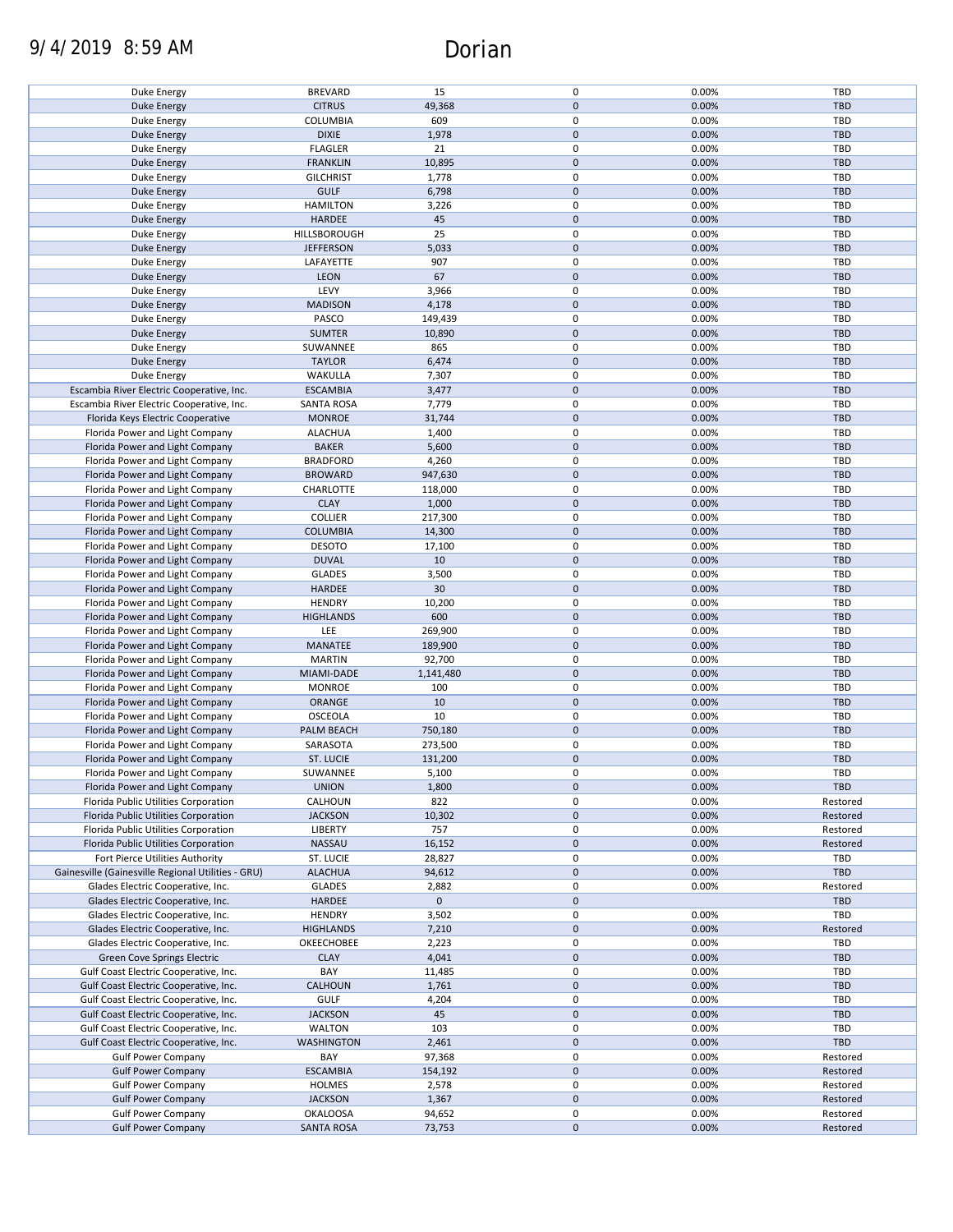# 9/4/2019 8:59 AM Dorian

| Duke Energy                                        | <b>BREVARD</b>    | 15          | $\pmb{0}$   | 0.00% | TBD        |
|----------------------------------------------------|-------------------|-------------|-------------|-------|------------|
| <b>Duke Energy</b>                                 | <b>CITRUS</b>     | 49,368      | $\pmb{0}$   | 0.00% | <b>TBD</b> |
|                                                    |                   |             | $\pmb{0}$   |       | TBD        |
| Duke Energy                                        | <b>COLUMBIA</b>   | 609         |             | 0.00% |            |
| <b>Duke Energy</b>                                 | <b>DIXIE</b>      | 1,978       | $\pmb{0}$   | 0.00% | <b>TBD</b> |
| Duke Energy                                        | <b>FLAGLER</b>    | 21          | $\pmb{0}$   | 0.00% | TBD        |
|                                                    |                   |             | $\mathbf 0$ | 0.00% | <b>TBD</b> |
| <b>Duke Energy</b>                                 | <b>FRANKLIN</b>   | 10,895      |             |       |            |
| Duke Energy                                        | <b>GILCHRIST</b>  | 1,778       | $\pmb{0}$   | 0.00% | TBD        |
| Duke Energy                                        | <b>GULF</b>       | 6,798       | $\pmb{0}$   | 0.00% | <b>TBD</b> |
|                                                    |                   |             |             |       |            |
| Duke Energy                                        | <b>HAMILTON</b>   | 3,226       | $\pmb{0}$   | 0.00% | TBD        |
| <b>Duke Energy</b>                                 | HARDEE            | 45          | $\mathbf 0$ | 0.00% | <b>TBD</b> |
| Duke Energy                                        | HILLSBOROUGH      | 25          | $\pmb{0}$   | 0.00% | TBD        |
|                                                    |                   |             |             |       |            |
| <b>Duke Energy</b>                                 | <b>JEFFERSON</b>  | 5,033       | $\pmb{0}$   | 0.00% | <b>TBD</b> |
| Duke Energy                                        | LAFAYETTE         | 907         | $\pmb{0}$   | 0.00% | <b>TBD</b> |
| <b>Duke Energy</b>                                 | LEON              | 67          | $\pmb{0}$   | 0.00% | <b>TBD</b> |
|                                                    |                   |             |             |       |            |
| Duke Energy                                        | LEVY              | 3,966       | $\pmb{0}$   | 0.00% | <b>TBD</b> |
| <b>Duke Energy</b>                                 | <b>MADISON</b>    | 4,178       | $\pmb{0}$   | 0.00% | <b>TBD</b> |
|                                                    | PASCO             |             | $\pmb{0}$   | 0.00% | <b>TBD</b> |
| Duke Energy                                        |                   | 149,439     |             |       |            |
| <b>Duke Energy</b>                                 | <b>SUMTER</b>     | 10,890      | $\pmb{0}$   | 0.00% | <b>TBD</b> |
| Duke Energy                                        | SUWANNEE          | 865         | $\pmb{0}$   | 0.00% | <b>TBD</b> |
|                                                    |                   |             |             |       |            |
| <b>Duke Energy</b>                                 | <b>TAYLOR</b>     | 6,474       | $\pmb{0}$   | 0.00% | TBD        |
| Duke Energy                                        | WAKULLA           | 7,307       | $\pmb{0}$   | 0.00% | <b>TBD</b> |
| Escambia River Electric Cooperative, Inc.          | <b>ESCAMBIA</b>   | 3,477       | $\pmb{0}$   | 0.00% | <b>TBD</b> |
|                                                    |                   |             |             |       |            |
| Escambia River Electric Cooperative, Inc.          | <b>SANTA ROSA</b> | 7,779       | $\pmb{0}$   | 0.00% | <b>TBD</b> |
| Florida Keys Electric Cooperative                  | <b>MONROE</b>     | 31,744      | $\pmb{0}$   | 0.00% | <b>TBD</b> |
|                                                    |                   |             | $\pmb{0}$   |       |            |
| Florida Power and Light Company                    | <b>ALACHUA</b>    | 1,400       |             | 0.00% | <b>TBD</b> |
| Florida Power and Light Company                    | <b>BAKER</b>      | 5,600       | $\pmb{0}$   | 0.00% | <b>TBD</b> |
| Florida Power and Light Company                    | <b>BRADFORD</b>   | 4,260       | $\pmb{0}$   | 0.00% | TBD        |
|                                                    |                   |             |             |       |            |
| Florida Power and Light Company                    | <b>BROWARD</b>    | 947,630     | $\pmb{0}$   | 0.00% | <b>TBD</b> |
| Florida Power and Light Company                    | CHARLOTTE         | 118,000     | $\pmb{0}$   | 0.00% | TBD        |
| Florida Power and Light Company                    | <b>CLAY</b>       | 1,000       | $\pmb{0}$   | 0.00% | <b>TBD</b> |
|                                                    |                   |             |             |       |            |
| Florida Power and Light Company                    | <b>COLLIER</b>    | 217,300     | $\pmb{0}$   | 0.00% | <b>TBD</b> |
| Florida Power and Light Company                    | <b>COLUMBIA</b>   | 14,300      | $\pmb{0}$   | 0.00% | <b>TBD</b> |
| Florida Power and Light Company                    | <b>DESOTO</b>     | 17,100      | $\pmb{0}$   | 0.00% | TBD        |
|                                                    |                   |             |             |       |            |
| Florida Power and Light Company                    | <b>DUVAL</b>      | 10          | $\mathbf 0$ | 0.00% | <b>TBD</b> |
| Florida Power and Light Company                    | <b>GLADES</b>     | 3,500       | $\pmb{0}$   | 0.00% | TBD        |
|                                                    |                   |             |             |       |            |
| Florida Power and Light Company                    | <b>HARDEE</b>     | 30          | $\pmb{0}$   | 0.00% | <b>TBD</b> |
| Florida Power and Light Company                    | <b>HENDRY</b>     | 10,200      | $\pmb{0}$   | 0.00% | TBD        |
| Florida Power and Light Company                    | <b>HIGHLANDS</b>  | 600         | $\pmb{0}$   | 0.00% | <b>TBD</b> |
|                                                    |                   |             |             |       |            |
| Florida Power and Light Company                    | LEE               | 269,900     | $\pmb{0}$   | 0.00% | <b>TBD</b> |
| Florida Power and Light Company                    | MANATEE           | 189,900     | $\mathbf 0$ | 0.00% | <b>TBD</b> |
| Florida Power and Light Company                    | <b>MARTIN</b>     | 92,700      | $\pmb{0}$   | 0.00% | TBD        |
|                                                    |                   |             |             |       |            |
| Florida Power and Light Company                    | MIAMI-DADE        | 1,141,480   | $\pmb{0}$   | 0.00% | <b>TBD</b> |
| Florida Power and Light Company                    | <b>MONROE</b>     | 100         | $\pmb{0}$   | 0.00% | TBD        |
| Florida Power and Light Company                    | ORANGE            | 10          | $\pmb{0}$   | 0.00% | <b>TBD</b> |
|                                                    |                   |             |             |       |            |
| Florida Power and Light Company                    | <b>OSCEOLA</b>    | 10          | $\pmb{0}$   | 0.00% | TBD        |
| Florida Power and Light Company                    | PALM BEACH        | 750,180     | $\pmb{0}$   | 0.00% | <b>TBD</b> |
|                                                    |                   |             | $\pmb{0}$   |       | <b>TBD</b> |
| Florida Power and Light Company                    | SARASOTA          | 273,500     |             | 0.00% |            |
| Florida Power and Light Company                    | ST. LUCIE         | 131,200     | $\pmb{0}$   | 0.00% | <b>TBD</b> |
| Florida Power and Light Company                    | SUWANNEE          | 5,100       | $\mathbf 0$ | 0.00% | TBD        |
|                                                    |                   |             |             |       |            |
| Florida Power and Light Company                    | <b>UNION</b>      | 1,800       | $\pmb{0}$   | 0.00% | TBD        |
| Florida Public Utilities Corporation               | CALHOUN           | 822         | 0           | 0.00% | Restored   |
| Florida Public Utilities Corporation               | <b>JACKSON</b>    | 10,302      | 0           | 0.00% | Restored   |
|                                                    |                   |             |             |       |            |
| Florida Public Utilities Corporation               | <b>LIBERTY</b>    | 757         | 0           | 0.00% | Restored   |
| Florida Public Utilities Corporation               | NASSAU            | 16,152      | $\mathbf 0$ | 0.00% | Restored   |
| Fort Pierce Utilities Authority                    | ST. LUCIE         | 28,827      | 0           | 0.00% | TBD        |
|                                                    |                   |             |             |       |            |
| Gainesville (Gainesville Regional Utilities - GRU) | <b>ALACHUA</b>    | 94,612      | $\mathbf 0$ | 0.00% | <b>TBD</b> |
| Glades Electric Cooperative, Inc.                  | <b>GLADES</b>     | 2,882       | $\pmb{0}$   | 0.00% | Restored   |
|                                                    |                   | $\mathbf 0$ | $\mathbf 0$ |       |            |
| Glades Electric Cooperative, Inc.                  | <b>HARDEE</b>     |             |             |       | <b>TBD</b> |
| Glades Electric Cooperative, Inc.                  | <b>HENDRY</b>     | 3,502       | $\pmb{0}$   | 0.00% | TBD        |
| Glades Electric Cooperative, Inc.                  | <b>HIGHLANDS</b>  | 7,210       | $\pmb{0}$   | 0.00% | Restored   |
|                                                    |                   |             |             |       |            |
| Glades Electric Cooperative, Inc.                  | OKEECHOBEE        | 2,223       | 0           | 0.00% | TBD        |
| Green Cove Springs Electric                        | <b>CLAY</b>       | 4,041       | $\pmb{0}$   | 0.00% | <b>TBD</b> |
| Gulf Coast Electric Cooperative, Inc.              | BAY               | 11,485      | 0           | 0.00% | <b>TBD</b> |
|                                                    |                   |             |             |       |            |
| Gulf Coast Electric Cooperative, Inc.              | CALHOUN           | 1,761       | $\pmb{0}$   | 0.00% | <b>TBD</b> |
| Gulf Coast Electric Cooperative, Inc.              | <b>GULF</b>       | 4,204       | 0           | 0.00% | <b>TBD</b> |
|                                                    |                   |             | $\mathbf 0$ |       | <b>TBD</b> |
| Gulf Coast Electric Cooperative, Inc.              | <b>JACKSON</b>    | 45          |             | 0.00% |            |
| Gulf Coast Electric Cooperative, Inc.              | WALTON            | 103         | 0           | 0.00% | <b>TBD</b> |
| Gulf Coast Electric Cooperative, Inc.              | WASHINGTON        | 2,461       | 0           | 0.00% | <b>TBD</b> |
|                                                    |                   |             |             |       |            |
| <b>Gulf Power Company</b>                          | BAY               | 97,368      | $\pmb{0}$   | 0.00% | Restored   |
| <b>Gulf Power Company</b>                          | <b>ESCAMBIA</b>   | 154,192     | 0           | 0.00% | Restored   |
| <b>Gulf Power Company</b>                          | <b>HOLMES</b>     | 2,578       | $\pmb{0}$   | 0.00% | Restored   |
|                                                    |                   |             |             |       |            |
| <b>Gulf Power Company</b>                          | <b>JACKSON</b>    | 1,367       | 0           | 0.00% | Restored   |
| <b>Gulf Power Company</b>                          | <b>OKALOOSA</b>   | 94,652      | $\pmb{0}$   | 0.00% | Restored   |
| <b>Gulf Power Company</b>                          | <b>SANTA ROSA</b> | 73,753      | $\pmb{0}$   | 0.00% | Restored   |
|                                                    |                   |             |             |       |            |